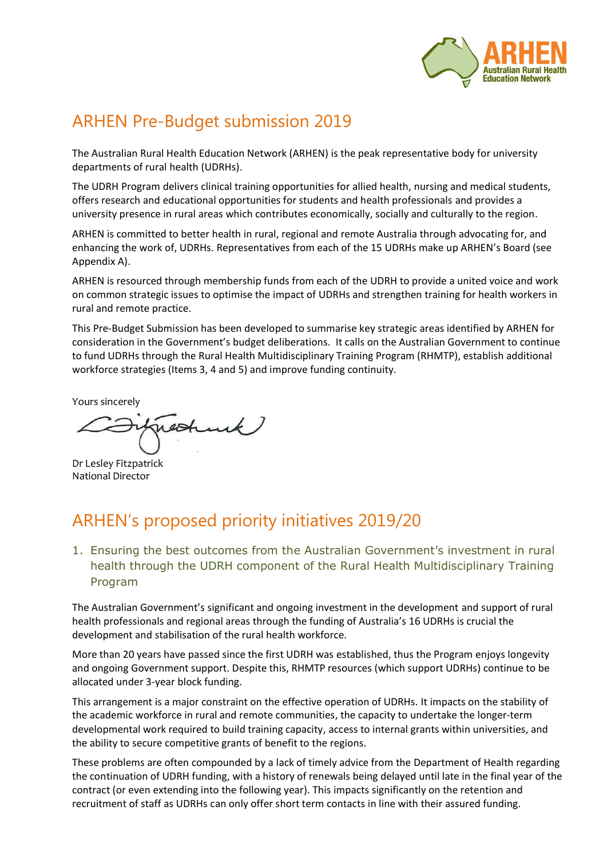

# ARHEN Pre-Budget submission 2019

The Australian Rural Health Education Network (ARHEN) is the peak representative body for university departments of rural health (UDRHs).

The UDRH Program delivers clinical training opportunities for allied health, nursing and medical students, offers research and educational opportunities for students and health professionals and provides a university presence in rural areas which contributes economically, socially and culturally to the region.

ARHEN is committed to better health in rural, regional and remote Australia through advocating for, and enhancing the work of, UDRHs. Representatives from each of the 15 UDRHs make up ARHEN's Board (see Appendix A).

ARHEN is resourced through membership funds from each of the UDRH to provide a united voice and work on common strategic issues to optimise the impact of UDRHs and strengthen training for health workers in rural and remote practice.

This Pre-Budget Submission has been developed to summarise key strategic areas identified by ARHEN for consideration in the Government's budget deliberations. It calls on the Australian Government to continue to fund UDRHs through the Rural Health Multidisciplinary Training Program (RHMTP), establish additional workforce strategies (Items 3, 4 and 5) and improve funding continuity.

Yours sincerely

Dr Lesley Fitzpatrick National Director

## ARHEN's proposed priority initiatives 2019/20

1. Ensuring the best outcomes from the Australian Government's investment in rural health through the UDRH component of the Rural Health Multidisciplinary Training Program

The Australian Government's significant and ongoing investment in the development and support of rural health professionals and regional areas through the funding of Australia's 16 UDRHs is crucial the development and stabilisation of the rural health workforce.

More than 20 years have passed since the first UDRH was established, thus the Program enjoys longevity and ongoing Government support. Despite this, RHMTP resources (which support UDRHs) continue to be allocated under 3-year block funding.

This arrangement is a major constraint on the effective operation of UDRHs. It impacts on the stability of the academic workforce in rural and remote communities, the capacity to undertake the longer-term developmental work required to build training capacity, access to internal grants within universities, and the ability to secure competitive grants of benefit to the regions.

These problems are often compounded by a lack of timely advice from the Department of Health regarding the continuation of UDRH funding, with a history of renewals being delayed until late in the final year of the contract (or even extending into the following year). This impacts significantly on the retention and recruitment of staff as UDRHs can only offer short term contacts in line with their assured funding.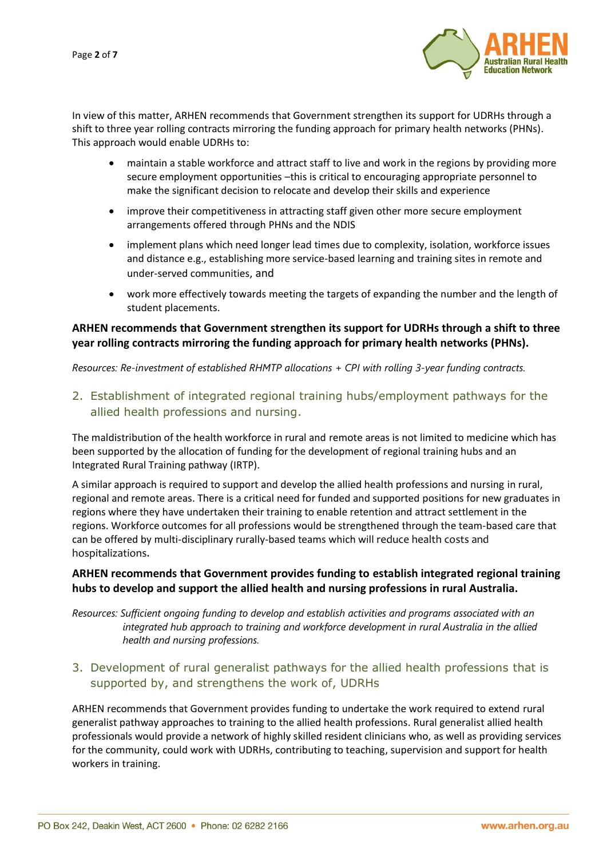Page **2** of **7**



In view of this matter, ARHEN recommends that Government strengthen its support for UDRHs through a shift to three year rolling contracts mirroring the funding approach for primary health networks (PHNs). This approach would enable UDRHs to:

- maintain a stable workforce and attract staff to live and work in the regions by providing more secure employment opportunities –this is critical to encouraging appropriate personnel to make the significant decision to relocate and develop their skills and experience
- improve their competitiveness in attracting staff given other more secure employment arrangements offered through PHNs and the NDIS
- implement plans which need longer lead times due to complexity, isolation, workforce issues and distance e.g., establishing more service-based learning and training sites in remote and under-served communities, and
- work more effectively towards meeting the targets of expanding the number and the length of student placements.

### **ARHEN recommends that Government strengthen its support for UDRHs through a shift to three year rolling contracts mirroring the funding approach for primary health networks (PHNs).**

*Resources: Re-investment of established RHMTP allocations + CPI with rolling 3-year funding contracts.*

2. Establishment of integrated regional training hubs/employment pathways for the allied health professions and nursing.

The maldistribution of the health workforce in rural and remote areas is not limited to medicine which has been supported by the allocation of funding for the development of regional training hubs and an Integrated Rural Training pathway (IRTP).

A similar approach is required to support and develop the allied health professions and nursing in rural, regional and remote areas. There is a critical need for funded and supported positions for new graduates in regions where they have undertaken their training to enable retention and attract settlement in the regions. Workforce outcomes for all professions would be strengthened through the team-based care that can be offered by multi-disciplinary rurally-based teams which will reduce health costs and hospitalizations.

## **ARHEN recommends that Government provides funding to establish integrated regional training hubs to develop and support the allied health and nursing professions in rural Australia.**

*Resources: Sufficient ongoing funding to develop and establish activities and programs associated with an integrated hub approach to training and workforce development in rural Australia in the allied health and nursing professions.*

3. Development of rural generalist pathways for the allied health professions that is supported by, and strengthens the work of, UDRHs

ARHEN recommends that Government provides funding to undertake the work required to extend rural generalist pathway approaches to training to the allied health professions. Rural generalist allied health professionals would provide a network of highly skilled resident clinicians who, as well as providing services for the community, could work with UDRHs, contributing to teaching, supervision and support for health workers in training.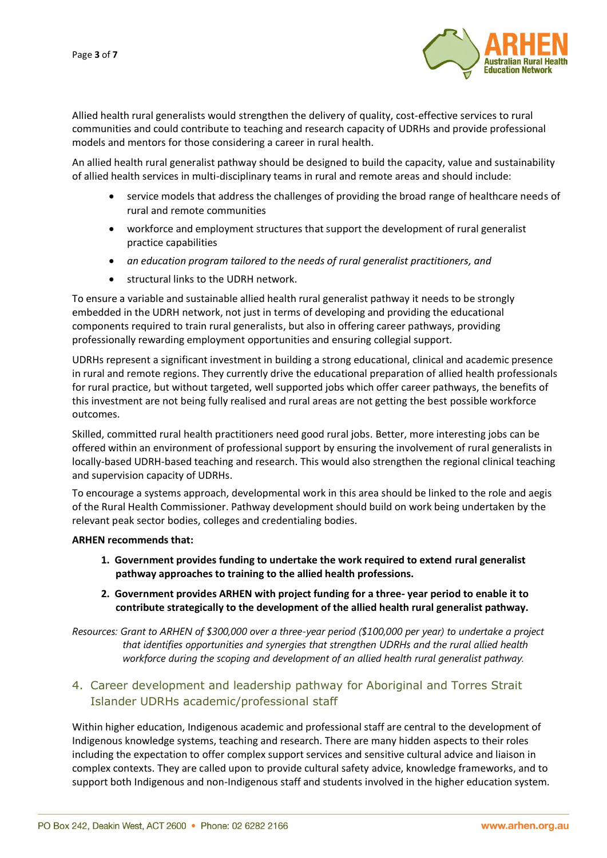

Allied health rural generalists would strengthen the delivery of quality, cost-effective services to rural communities and could contribute to teaching and research capacity of UDRHs and provide professional models and mentors for those considering a career in rural health.

An allied health rural generalist pathway should be designed to build the capacity, value and sustainability of allied health services in multi-disciplinary teams in rural and remote areas and should include:

- service models that address the challenges of providing the broad range of healthcare needs of rural and remote communities
- workforce and employment structures that support the development of rural generalist practice capabilities
- *an education program tailored to the needs of rural generalist practitioners, and*
- structural links to the UDRH network.

To ensure a variable and sustainable allied health rural generalist pathway it needs to be strongly embedded in the UDRH network, not just in terms of developing and providing the educational components required to train rural generalists, but also in offering career pathways, providing professionally rewarding employment opportunities and ensuring collegial support.

UDRHs represent a significant investment in building a strong educational, clinical and academic presence in rural and remote regions. They currently drive the educational preparation of allied health professionals for rural practice, but without targeted, well supported jobs which offer career pathways, the benefits of this investment are not being fully realised and rural areas are not getting the best possible workforce outcomes.

Skilled, committed rural health practitioners need good rural jobs. Better, more interesting jobs can be offered within an environment of professional support by ensuring the involvement of rural generalists in locally-based UDRH-based teaching and research. This would also strengthen the regional clinical teaching and supervision capacity of UDRHs.

To encourage a systems approach, developmental work in this area should be linked to the role and aegis of the Rural Health Commissioner. Pathway development should build on work being undertaken by the relevant peak sector bodies, colleges and credentialing bodies.

#### **ARHEN recommends that:**

- **1. Government provides funding to undertake the work required to extend rural generalist pathway approaches to training to the allied health professions.**
- **2. Government provides ARHEN with project funding for a three- year period to enable it to contribute strategically to the development of the allied health rural generalist pathway.**

*Resources: Grant to ARHEN of \$300,000 over a three-year period (\$100,000 per year) to undertake a project that identifies opportunities and synergies that strengthen UDRHs and the rural allied health workforce during the scoping and development of an allied health rural generalist pathway.*

## 4. Career development and leadership pathway for Aboriginal and Torres Strait Islander UDRHs academic/professional staff

Within higher education, Indigenous academic and professional staff are central to the development of Indigenous knowledge systems, teaching and research. There are many hidden aspects to their roles including the expectation to offer complex support services and sensitive cultural advice and liaison in complex contexts. They are called upon to provide cultural safety advice, knowledge frameworks, and to support both Indigenous and non-Indigenous staff and students involved in the higher education system.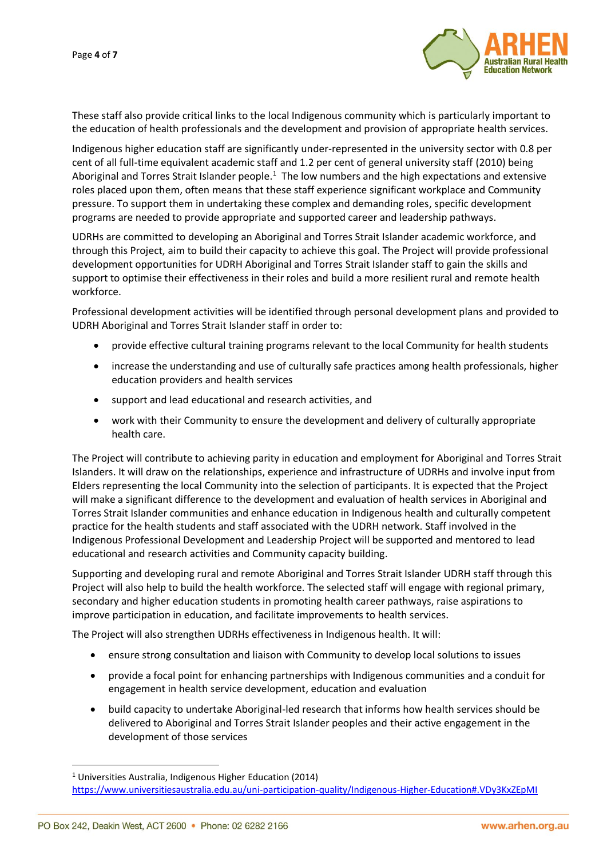

These staff also provide critical links to the local Indigenous community which is particularly important to the education of health professionals and the development and provision of appropriate health services.

Indigenous higher education staff are significantly under-represented in the university sector with 0.8 per cent of all full-time equivalent academic staff and 1.2 per cent of general university staff (2010) being Aboriginal and Torres Strait Islander people.<sup>1</sup> The low numbers and the high expectations and extensive roles placed upon them, often means that these staff experience significant workplace and Community pressure. To support them in undertaking these complex and demanding roles, specific development programs are needed to provide appropriate and supported career and leadership pathways.

UDRHs are committed to developing an Aboriginal and Torres Strait Islander academic workforce, and through this Project, aim to build their capacity to achieve this goal. The Project will provide professional development opportunities for UDRH Aboriginal and Torres Strait Islander staff to gain the skills and support to optimise their effectiveness in their roles and build a more resilient rural and remote health workforce.

Professional development activities will be identified through personal development plans and provided to UDRH Aboriginal and Torres Strait Islander staff in order to:

- provide effective cultural training programs relevant to the local Community for health students
- increase the understanding and use of culturally safe practices among health professionals, higher education providers and health services
- support and lead educational and research activities, and
- work with their Community to ensure the development and delivery of culturally appropriate health care.

The Project will contribute to achieving parity in education and employment for Aboriginal and Torres Strait Islanders. It will draw on the relationships, experience and infrastructure of UDRHs and involve input from Elders representing the local Community into the selection of participants. It is expected that the Project will make a significant difference to the development and evaluation of health services in Aboriginal and Torres Strait Islander communities and enhance education in Indigenous health and culturally competent practice for the health students and staff associated with the UDRH network. Staff involved in the Indigenous Professional Development and Leadership Project will be supported and mentored to lead educational and research activities and Community capacity building.

Supporting and developing rural and remote Aboriginal and Torres Strait Islander UDRH staff through this Project will also help to build the health workforce. The selected staff will engage with regional primary, secondary and higher education students in promoting health career pathways, raise aspirations to improve participation in education, and facilitate improvements to health services.

The Project will also strengthen UDRHs effectiveness in Indigenous health. It will:

- ensure strong consultation and liaison with Community to develop local solutions to issues
- provide a focal point for enhancing partnerships with Indigenous communities and a conduit for engagement in health service development, education and evaluation
- build capacity to undertake Aboriginal-led research that informs how health services should be delivered to Aboriginal and Torres Strait Islander peoples and their active engagement in the development of those services

 $\overline{a}$ 

 $1$  Universities Australia, Indigenous Higher Education (2014)

<https://www.universitiesaustralia.edu.au/uni-participation-quality/Indigenous-Higher-Education#.VDy3KxZEpMI>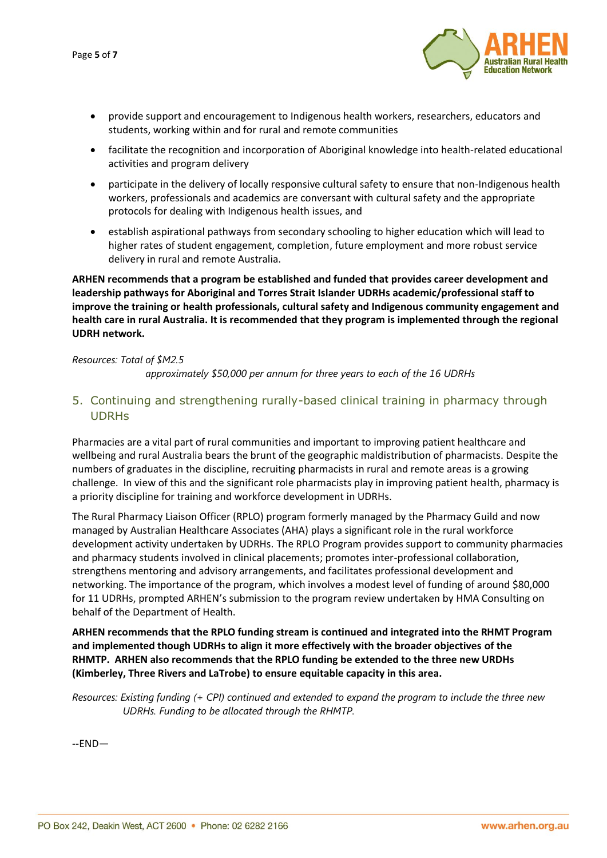PO Box 242, Deakin West, ACT 2600 • Phone: 02 6282 2166

- provide support and encouragement to Indigenous health workers, researchers, educators and students, working within and for rural and remote communities
- facilitate the recognition and incorporation of Aboriginal knowledge into health-related educational activities and program delivery
- participate in the delivery of locally responsive cultural safety to ensure that non-Indigenous health workers, professionals and academics are conversant with cultural safety and the appropriate protocols for dealing with Indigenous health issues, and
- establish aspirational pathways from secondary schooling to higher education which will lead to higher rates of student engagement, completion, future employment and more robust service delivery in rural and remote Australia.

**ARHEN recommends that a program be established and funded that provides career development and leadership pathways for Aboriginal and Torres Strait Islander UDRHs academic/professional staff to improve the training or health professionals, cultural safety and Indigenous community engagement and health care in rural Australia. It is recommended that they program is implemented through the regional UDRH network.** 

#### *Resources: Total of \$M2.5*

*approximately \$50,000 per annum for three years to each of the 16 UDRHs* 

5. Continuing and strengthening rurally-based clinical training in pharmacy through UDRHs

Pharmacies are a vital part of rural communities and important to improving patient healthcare and wellbeing and rural Australia bears the brunt of the geographic maldistribution of pharmacists. Despite the numbers of graduates in the discipline, recruiting pharmacists in rural and remote areas is a growing challenge. In view of this and the significant role pharmacists play in improving patient health, pharmacy is a priority discipline for training and workforce development in UDRHs.

The Rural Pharmacy Liaison Officer (RPLO) program formerly managed by the Pharmacy Guild and now managed by Australian Healthcare Associates (AHA) plays a significant role in the rural workforce development activity undertaken by UDRHs. The RPLO Program provides support to community pharmacies and pharmacy students involved in clinical placements; promotes inter-professional collaboration, strengthens mentoring and advisory arrangements, and facilitates professional development and networking. The importance of the program, which involves a modest level of funding of around \$80,000 for 11 UDRHs, prompted ARHEN's submission to the program review undertaken by HMA Consulting on behalf of the Department of Health.

**ARHEN recommends that the RPLO funding stream is continued and integrated into the RHMT Program and implemented though UDRHs to align it more effectively with the broader objectives of the RHMTP. ARHEN also recommends that the RPLO funding be extended to the three new URDHs (Kimberley, Three Rivers and LaTrobe) to ensure equitable capacity in this area.**

*Resources: Existing funding (+ CPI) continued and extended to expand the program to include the three new UDRHs. Funding to be allocated through the RHMTP.* 

--END—

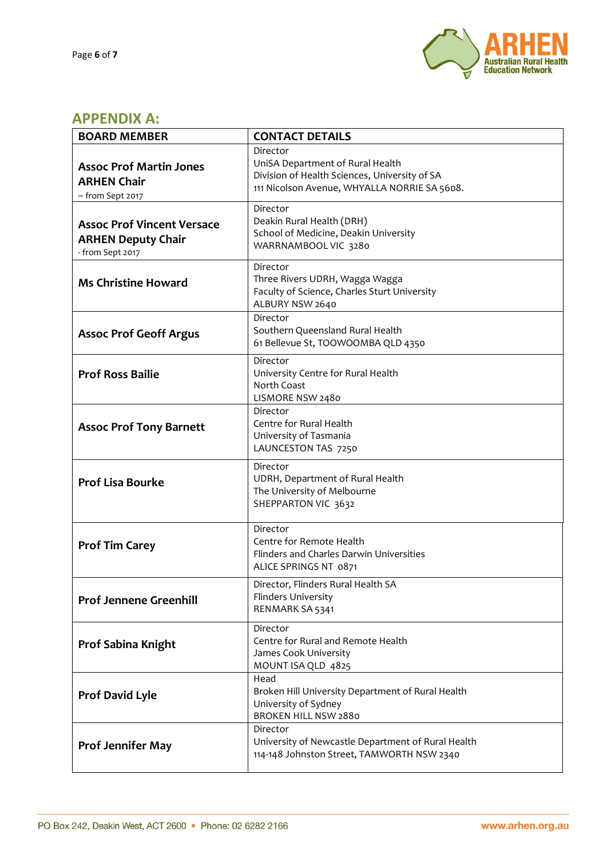

## **APPENDIX A:**

| <b>BOARD MEMBER</b>                                                                | <b>CONTACT DETAILS</b>                                                                                                                        |
|------------------------------------------------------------------------------------|-----------------------------------------------------------------------------------------------------------------------------------------------|
| <b>Assoc Prof Martin Jones</b><br><b>ARHEN Chair</b><br>- from Sept 2017           | Director<br>UniSA Department of Rural Health<br>Division of Health Sciences, University of SA<br>111 Nicolson Avenue, WHYALLA NORRIE SA 5608. |
| <b>Assoc Prof Vincent Versace</b><br><b>ARHEN Deputy Chair</b><br>- from Sept 2017 | Director<br>Deakin Rural Health (DRH)<br>School of Medicine, Deakin University<br>WARRNAMBOOL VIC 3280                                        |
| <b>Ms Christine Howard</b>                                                         | Director<br>Three Rivers UDRH, Wagga Wagga<br>Faculty of Science, Charles Sturt University<br>ALBURY NSW 2640                                 |
| <b>Assoc Prof Geoff Argus</b>                                                      | Director<br>Southern Queensland Rural Health<br>61 Bellevue St, TOOWOOMBA QLD 4350                                                            |
| <b>Prof Ross Bailie</b>                                                            | Director<br>University Centre for Rural Health<br>North Coast<br>LISMORE NSW 2480                                                             |
| <b>Assoc Prof Tony Barnett</b>                                                     | Director<br>Centre for Rural Health<br>University of Tasmania<br>LAUNCESTON TAS 7250                                                          |
| <b>Prof Lisa Bourke</b>                                                            | Director<br>UDRH, Department of Rural Health<br>The University of Melbourne<br>SHEPPARTON VIC 3632                                            |
| <b>Prof Tim Carey</b>                                                              | Director<br>Centre for Remote Health<br>Flinders and Charles Darwin Universities<br>ALICE SPRINGS NT 0871                                     |
| <b>Prof Jennene Greenhill</b>                                                      | Director, Flinders Rural Health SA<br>Flinders University<br>RENMARK SA 5341                                                                  |
| Prof Sabina Knight                                                                 | Director<br>Centre for Rural and Remote Health<br>James Cook University<br>MOUNT ISA QLD 4825                                                 |
| <b>Prof David Lyle</b>                                                             | Head<br>Broken Hill University Department of Rural Health<br>University of Sydney<br><b>BROKEN HILL NSW 2880</b>                              |
| <b>Prof Jennifer May</b>                                                           | Director<br>University of Newcastle Department of Rural Health<br>114-148 Johnston Street, TAMWORTH NSW 2340                                  |